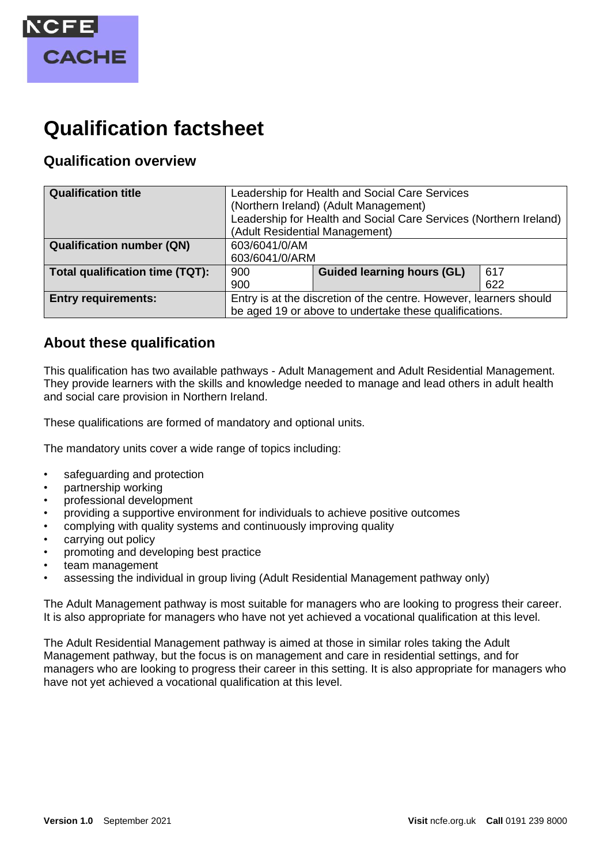

# **Qualification factsheet**

### **Qualification overview**

| <b>Qualification title</b>       | Leadership for Health and Social Care Services<br>(Northern Ireland) (Adult Management)<br>Leadership for Health and Social Care Services (Northern Ireland)<br>(Adult Residential Management) |                                   |     |
|----------------------------------|------------------------------------------------------------------------------------------------------------------------------------------------------------------------------------------------|-----------------------------------|-----|
| <b>Qualification number (QN)</b> | 603/6041/0/AM<br>603/6041/0/ARM                                                                                                                                                                |                                   |     |
| Total qualification time (TQT):  | 900                                                                                                                                                                                            | <b>Guided learning hours (GL)</b> | 617 |
|                                  | 900                                                                                                                                                                                            |                                   | 622 |
| <b>Entry requirements:</b>       | Entry is at the discretion of the centre. However, learners should<br>be aged 19 or above to undertake these qualifications.                                                                   |                                   |     |

### **About these qualification**

This qualification has two available pathways - Adult Management and Adult Residential Management. They provide learners with the skills and knowledge needed to manage and lead others in adult health and social care provision in Northern Ireland.

These qualifications are formed of mandatory and optional units.

The mandatory units cover a wide range of topics including:

- safeguarding and protection
- partnership working
- professional development
- providing a supportive environment for individuals to achieve positive outcomes
- complying with quality systems and continuously improving quality
- carrying out policy
- promoting and developing best practice
- team management
- assessing the individual in group living (Adult Residential Management pathway only)

The Adult Management pathway is most suitable for managers who are looking to progress their career. It is also appropriate for managers who have not yet achieved a vocational qualification at this level.

The Adult Residential Management pathway is aimed at those in similar roles taking the Adult Management pathway, but the focus is on management and care in residential settings, and for managers who are looking to progress their career in this setting. It is also appropriate for managers who have not yet achieved a vocational qualification at this level.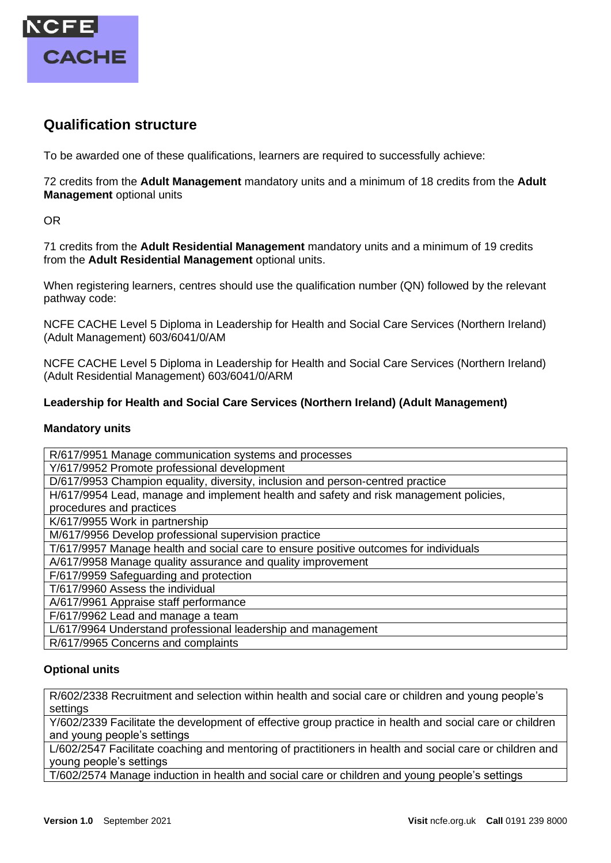

### **Qualification structure**

To be awarded one of these qualifications, learners are required to successfully achieve:

72 credits from the **Adult Management** mandatory units and a minimum of 18 credits from the **Adult Management** optional units

OR

71 credits from the **Adult Residential Management** mandatory units and a minimum of 19 credits from the **Adult Residential Management** optional units.

When registering learners, centres should use the qualification number (QN) followed by the relevant pathway code:

NCFE CACHE Level 5 Diploma in Leadership for Health and Social Care Services (Northern Ireland) (Adult Management) 603/6041/0/AM

NCFE CACHE Level 5 Diploma in Leadership for Health and Social Care Services (Northern Ireland) (Adult Residential Management) 603/6041/0/ARM

#### **Leadership for Health and Social Care Services (Northern Ireland) (Adult Management)**

#### **Mandatory units**

R/617/9951 Manage communication systems and processes

Y/617/9952 Promote professional development

D/617/9953 Champion equality, diversity, inclusion and person-centred practice

H/617/9954 Lead, manage and implement health and safety and risk management policies, procedures and practices

K/617/9955 Work in partnership

M/617/9956 Develop professional supervision practice

T/617/9957 Manage health and social care to ensure positive outcomes for individuals

A/617/9958 Manage quality assurance and quality improvement

F/617/9959 Safeguarding and protection

T/617/9960 Assess the individual

A/617/9961 Appraise staff performance

F/617/9962 Lead and manage a team

L/617/9964 Understand professional leadership and management

R/617/9965 Concerns and complaints

#### **Optional units**

R/602/2338 Recruitment and selection within health and social care or children and young people's settings

Y/602/2339 Facilitate the development of effective group practice in health and social care or children and young people's settings

L/602/2547 Facilitate coaching and mentoring of practitioners in health and social care or children and young people's settings

T/602/2574 Manage induction in health and social care or children and young people's settings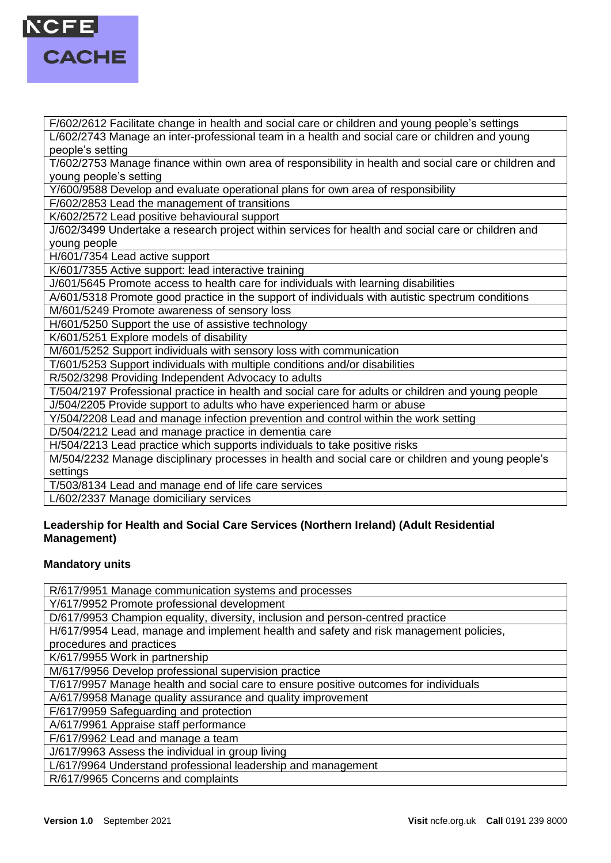

F/602/2612 Facilitate change in health and social care or children and young people's settings L/602/2743 Manage an inter-professional team in a health and social care or children and young people's setting

T/602/2753 Manage finance within own area of responsibility in health and social care or children and young people's setting

Y/600/9588 Develop and evaluate operational plans for own area of responsibility

F/602/2853 Lead the management of transitions

K/602/2572 Lead positive behavioural support

J/602/3499 Undertake a research project within services for health and social care or children and young people

H/601/7354 Lead active support

K/601/7355 Active support: lead interactive training

J/601/5645 Promote access to health care for individuals with learning disabilities

A/601/5318 Promote good practice in the support of individuals with autistic spectrum conditions

M/601/5249 Promote awareness of sensory loss

H/601/5250 Support the use of assistive technology

K/601/5251 Explore models of disability

M/601/5252 Support individuals with sensory loss with communication

T/601/5253 Support individuals with multiple conditions and/or disabilities

R/502/3298 Providing Independent Advocacy to adults

T/504/2197 Professional practice in health and social care for adults or children and young people

J/504/2205 Provide support to adults who have experienced harm or abuse

Y/504/2208 Lead and manage infection prevention and control within the work setting

D/504/2212 Lead and manage practice in dementia care

H/504/2213 Lead practice which supports individuals to take positive risks

M/504/2232 Manage disciplinary processes in health and social care or children and young people's settings

T/503/8134 Lead and manage end of life care services

L/602/2337 Manage domiciliary services

#### **Leadership for Health and Social Care Services (Northern Ireland) (Adult Residential Management)**

#### **Mandatory units**

R/617/9951 Manage communication systems and processes Y/617/9952 Promote professional development D/617/9953 Champion equality, diversity, inclusion and person-centred practice H/617/9954 Lead, manage and implement health and safety and risk management policies, procedures and practices K/617/9955 Work in partnership M/617/9956 Develop professional supervision practice T/617/9957 Manage health and social care to ensure positive outcomes for individuals A/617/9958 Manage quality assurance and quality improvement F/617/9959 Safeguarding and protection A/617/9961 Appraise staff performance F/617/9962 Lead and manage a team J/617/9963 Assess the individual in group living L/617/9964 Understand professional leadership and management R/617/9965 Concerns and complaints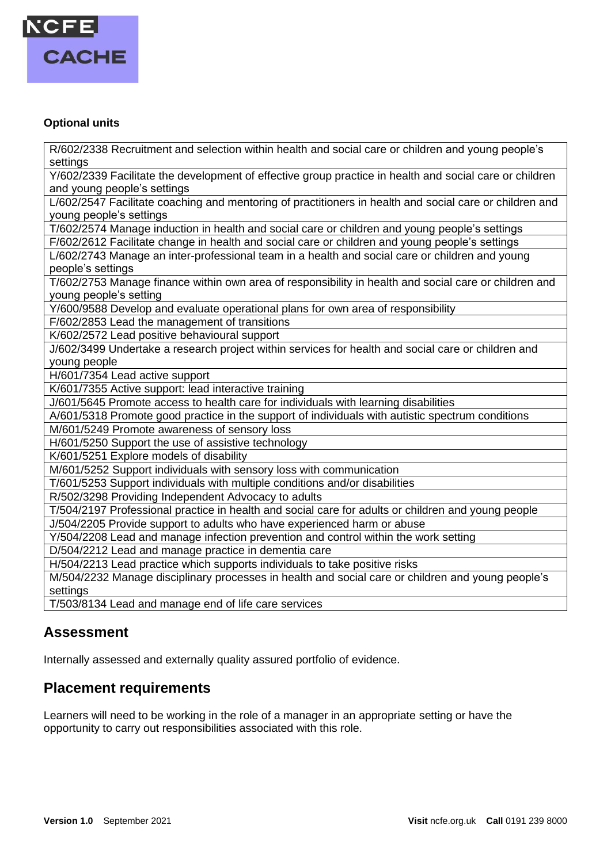

#### **Optional units**

R/602/2338 Recruitment and selection within health and social care or children and young people's settings

Y/602/2339 Facilitate the development of effective group practice in health and social care or children and young people's settings

L/602/2547 Facilitate coaching and mentoring of practitioners in health and social care or children and young people's settings

T/602/2574 Manage induction in health and social care or children and young people's settings

F/602/2612 Facilitate change in health and social care or children and young people's settings

L/602/2743 Manage an inter-professional team in a health and social care or children and young people's settings

T/602/2753 Manage finance within own area of responsibility in health and social care or children and young people's setting

Y/600/9588 Develop and evaluate operational plans for own area of responsibility

F/602/2853 Lead the management of transitions

K/602/2572 Lead positive behavioural support

J/602/3499 Undertake a research project within services for health and social care or children and young people

H/601/7354 Lead active support

K/601/7355 Active support: lead interactive training

J/601/5645 Promote access to health care for individuals with learning disabilities

A/601/5318 Promote good practice in the support of individuals with autistic spectrum conditions

M/601/5249 Promote awareness of sensory loss

H/601/5250 Support the use of assistive technology

K/601/5251 Explore models of disability

M/601/5252 Support individuals with sensory loss with communication

T/601/5253 Support individuals with multiple conditions and/or disabilities

R/502/3298 Providing Independent Advocacy to adults

T/504/2197 Professional practice in health and social care for adults or children and young people J/504/2205 Provide support to adults who have experienced harm or abuse

Y/504/2208 Lead and manage infection prevention and control within the work setting

D/504/2212 Lead and manage practice in dementia care

H/504/2213 Lead practice which supports individuals to take positive risks

M/504/2232 Manage disciplinary processes in health and social care or children and young people's settings

T/503/8134 Lead and manage end of life care services

### **Assessment**

Internally assessed and externally quality assured portfolio of evidence.

### **Placement requirements**

Learners will need to be working in the role of a manager in an appropriate setting or have the opportunity to carry out responsibilities associated with this role.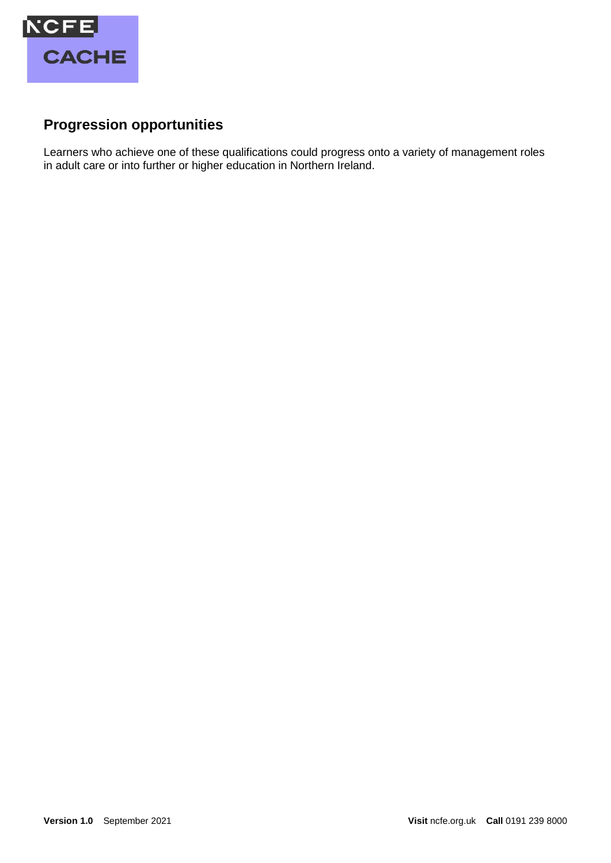

## **Progression opportunities**

Learners who achieve one of these qualifications could progress onto a variety of management roles in adult care or into further or higher education in Northern Ireland.